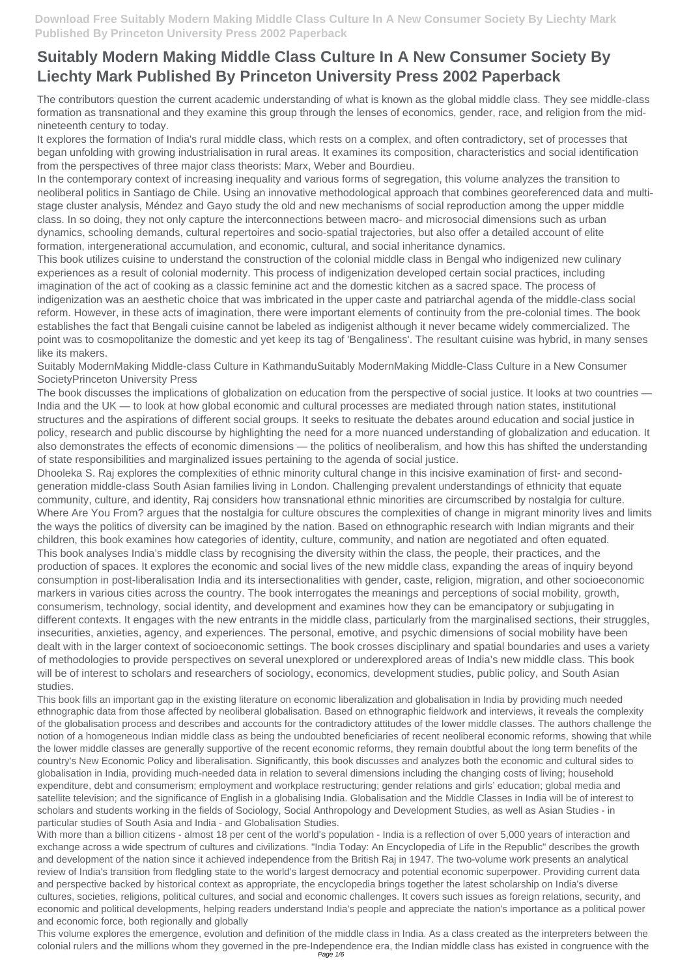The contributors question the current academic understanding of what is known as the global middle class. They see middle-class formation as transnational and they examine this group through the lenses of economics, gender, race, and religion from the midnineteenth century to today.

It explores the formation of India's rural middle class, which rests on a complex, and often contradictory, set of processes that began unfolding with growing industrialisation in rural areas. It examines its composition, characteristics and social identification from the perspectives of three major class theorists: Marx, Weber and Bourdieu.

In the contemporary context of increasing inequality and various forms of segregation, this volume analyzes the transition to neoliberal politics in Santiago de Chile. Using an innovative methodological approach that combines georeferenced data and multistage cluster analysis, Méndez and Gayo study the old and new mechanisms of social reproduction among the upper middle class. In so doing, they not only capture the interconnections between macro- and microsocial dimensions such as urban dynamics, schooling demands, cultural repertoires and socio-spatial trajectories, but also offer a detailed account of elite formation, intergenerational accumulation, and economic, cultural, and social inheritance dynamics.

This book utilizes cuisine to understand the construction of the colonial middle class in Bengal who indigenized new culinary experiences as a result of colonial modernity. This process of indigenization developed certain social practices, including imagination of the act of cooking as a classic feminine act and the domestic kitchen as a sacred space. The process of indigenization was an aesthetic choice that was imbricated in the upper caste and patriarchal agenda of the middle-class social reform. However, in these acts of imagination, there were important elements of continuity from the pre-colonial times. The book establishes the fact that Bengali cuisine cannot be labeled as indigenist although it never became widely commercialized. The point was to cosmopolitanize the domestic and yet keep its tag of 'Bengaliness'. The resultant cuisine was hybrid, in many senses like its makers.

Suitably ModernMaking Middle-class Culture in KathmanduSuitably ModernMaking Middle-Class Culture in a New Consumer SocietyPrinceton University Press

The book discusses the implications of globalization on education from the perspective of social justice. It looks at two countries — India and the UK — to look at how global economic and cultural processes are mediated through nation states, institutional structures and the aspirations of different social groups. It seeks to resituate the debates around education and social justice in policy, research and public discourse by highlighting the need for a more nuanced understanding of globalization and education. It also demonstrates the effects of economic dimensions — the politics of neoliberalism, and how this has shifted the understanding of state responsibilities and marginalized issues pertaining to the agenda of social justice.

Dhooleka S. Raj explores the complexities of ethnic minority cultural change in this incisive examination of first- and secondgeneration middle-class South Asian families living in London. Challenging prevalent understandings of ethnicity that equate community, culture, and identity, Raj considers how transnational ethnic minorities are circumscribed by nostalgia for culture. Where Are You From? argues that the nostalgia for culture obscures the complexities of change in migrant minority lives and limits the ways the politics of diversity can be imagined by the nation. Based on ethnographic research with Indian migrants and their children, this book examines how categories of identity, culture, community, and nation are negotiated and often equated. This book analyses India's middle class by recognising the diversity within the class, the people, their practices, and the production of spaces. It explores the economic and social lives of the new middle class, expanding the areas of inquiry beyond consumption in post-liberalisation India and its intersectionalities with gender, caste, religion, migration, and other socioeconomic markers in various cities across the country. The book interrogates the meanings and perceptions of social mobility, growth, consumerism, technology, social identity, and development and examines how they can be emancipatory or subjugating in different contexts. It engages with the new entrants in the middle class, particularly from the marginalised sections, their struggles, insecurities, anxieties, agency, and experiences. The personal, emotive, and psychic dimensions of social mobility have been dealt with in the larger context of socioeconomic settings. The book crosses disciplinary and spatial boundaries and uses a variety of methodologies to provide perspectives on several unexplored or underexplored areas of India's new middle class. This book will be of interest to scholars and researchers of sociology, economics, development studies, public policy, and South Asian studies.

This book fills an important gap in the existing literature on economic liberalization and globalisation in India by providing much needed ethnographic data from those affected by neoliberal globalisation. Based on ethnographic fieldwork and interviews, it reveals the complexity of the globalisation process and describes and accounts for the contradictory attitudes of the lower middle classes. The authors challenge the notion of a homogeneous Indian middle class as being the undoubted beneficiaries of recent neoliberal economic reforms, showing that while the lower middle classes are generally supportive of the recent economic reforms, they remain doubtful about the long term benefits of the country's New Economic Policy and liberalisation. Significantly, this book discusses and analyzes both the economic and cultural sides to globalisation in India, providing much-needed data in relation to several dimensions including the changing costs of living; household expenditure, debt and consumerism; employment and workplace restructuring; gender relations and girls' education; global media and satellite television; and the significance of English in a globalising India. Globalisation and the Middle Classes in India will be of interest to scholars and students working in the fields of Sociology, Social Anthropology and Development Studies, as well as Asian Studies - in particular studies of South Asia and India - and Globalisation Studies. With more than a billion citizens - almost 18 per cent of the world's population - India is a reflection of over 5,000 years of interaction and exchange across a wide spectrum of cultures and civilizations. "India Today: An Encyclopedia of Life in the Republic" describes the growth and development of the nation since it achieved independence from the British Raj in 1947. The two-volume work presents an analytical review of India's transition from fledgling state to the world's largest democracy and potential economic superpower. Providing current data and perspective backed by historical context as appropriate, the encyclopedia brings together the latest scholarship on India's diverse cultures, societies, religions, political cultures, and social and economic challenges. It covers such issues as foreign relations, security, and economic and political developments, helping readers understand India's people and appreciate the nation's importance as a political power and economic force, both regionally and globally This volume explores the emergence, evolution and definition of the middle class in India. As a class created as the interpreters between the colonial rulers and the millions whom they governed in the pre-Independence era, the Indian middle class has existed in congruence with the Page 1/6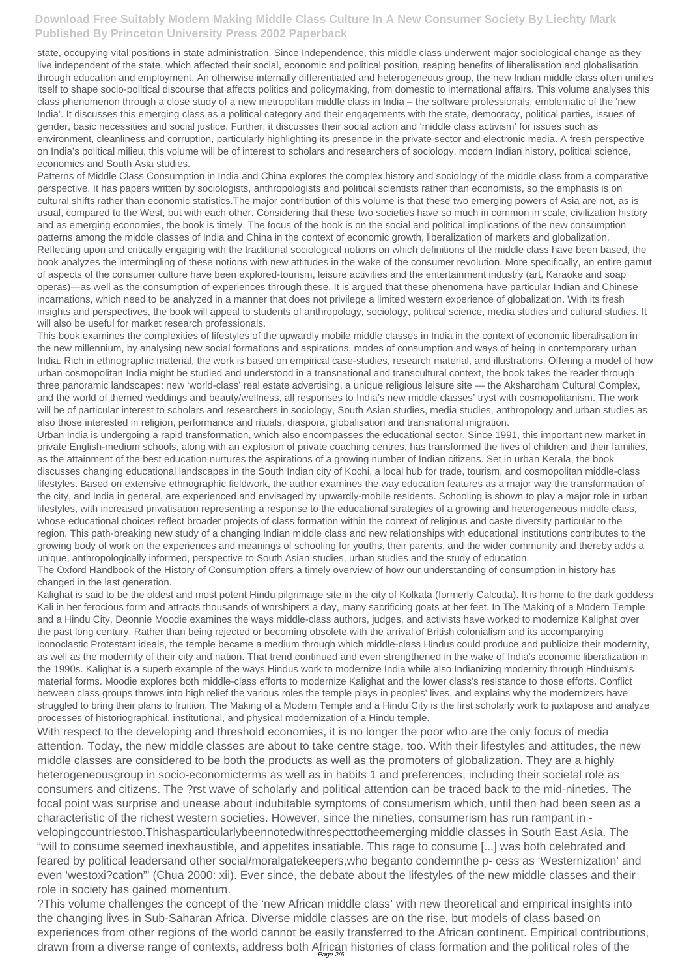state, occupying vital positions in state administration. Since Independence, this middle class underwent major sociological change as they live independent of the state, which affected their social, economic and political position, reaping benefits of liberalisation and globalisation through education and employment. An otherwise internally differentiated and heterogeneous group, the new Indian middle class often unifies itself to shape socio-political discourse that affects politics and policymaking, from domestic to international affairs. This volume analyses this class phenomenon through a close study of a new metropolitan middle class in India – the software professionals, emblematic of the 'new India'. It discusses this emerging class as a political category and their engagements with the state, democracy, political parties, issues of gender, basic necessities and social justice. Further, it discusses their social action and 'middle class activism' for issues such as environment, cleanliness and corruption, particularly highlighting its presence in the private sector and electronic media. A fresh perspective on India's political milieu, this volume will be of interest to scholars and researchers of sociology, modern Indian history, political science, economics and South Asia studies.

Patterns of Middle Class Consumption in India and China explores the complex history and sociology of the middle class from a comparative perspective. It has papers written by sociologists, anthropologists and political scientists rather than economists, so the emphasis is on cultural shifts rather than economic statistics.The major contribution of this volume is that these two emerging powers of Asia are not, as is usual, compared to the West, but with each other. Considering that these two societies have so much in common in scale, civilization history and as emerging economies, the book is timely. The focus of the book is on the social and political implications of the new consumption patterns among the middle classes of India and China in the context of economic growth, liberalization of markets and globalization. Reflecting upon and critically engaging with the traditional sociological notions on which definitions of the middle class have been based, the book analyzes the intermingling of these notions with new attitudes in the wake of the consumer revolution. More specifically, an entire gamut of aspects of the consumer culture have been explored-tourism, leisure activities and the entertainment industry (art, Karaoke and soap operas)—as well as the consumption of experiences through these. It is argued that these phenomena have particular Indian and Chinese incarnations, which need to be analyzed in a manner that does not privilege a limited western experience of globalization. With its fresh insights and perspectives, the book will appeal to students of anthropology, sociology, political science, media studies and cultural studies. It will also be useful for market research professionals.

This book examines the complexities of lifestyles of the upwardly mobile middle classes in India in the context of economic liberalisation in the new millennium, by analysing new social formations and aspirations, modes of consumption and ways of being in contemporary urban India. Rich in ethnographic material, the work is based on empirical case-studies, research material, and illustrations. Offering a model of how urban cosmopolitan India might be studied and understood in a transnational and transcultural context, the book takes the reader through three panoramic landscapes: new 'world-class' real estate advertising, a unique religious leisure site — the Akshardham Cultural Complex, and the world of themed weddings and beauty/wellness, all responses to India's new middle classes' tryst with cosmopolitanism. The work will be of particular interest to scholars and researchers in sociology, South Asian studies, media studies, anthropology and urban studies as also those interested in religion, performance and rituals, diaspora, globalisation and transnational migration.

?This volume challenges the concept of the 'new African middle class' with new theoretical and empirical insights into the changing lives in Sub-Saharan Africa. Diverse middle classes are on the rise, but models of class based on experiences from other regions of the world cannot be easily transferred to the African continent. Empirical contributions, drawn from a diverse range of contexts, address both African histories of class formation and the political roles of the

Urban India is undergoing a rapid transformation, which also encompasses the educational sector. Since 1991, this important new market in private English-medium schools, along with an explosion of private coaching centres, has transformed the lives of children and their families, as the attainment of the best education nurtures the aspirations of a growing number of Indian citizens. Set in urban Kerala, the book discusses changing educational landscapes in the South Indian city of Kochi, a local hub for trade, tourism, and cosmopolitan middle-class lifestyles. Based on extensive ethnographic fieldwork, the author examines the way education features as a major way the transformation of the city, and India in general, are experienced and envisaged by upwardly-mobile residents. Schooling is shown to play a major role in urban lifestyles, with increased privatisation representing a response to the educational strategies of a growing and heterogeneous middle class, whose educational choices reflect broader projects of class formation within the context of religious and caste diversity particular to the region. This path-breaking new study of a changing Indian middle class and new relationships with educational institutions contributes to the growing body of work on the experiences and meanings of schooling for youths, their parents, and the wider community and thereby adds a unique, anthropologically informed, perspective to South Asian studies, urban studies and the study of education.

The Oxford Handbook of the History of Consumption offers a timely overview of how our understanding of consumption in history has changed in the last generation.

Kalighat is said to be the oldest and most potent Hindu pilgrimage site in the city of Kolkata (formerly Calcutta). It is home to the dark goddess Kali in her ferocious form and attracts thousands of worshipers a day, many sacrificing goats at her feet. In The Making of a Modern Temple and a Hindu City, Deonnie Moodie examines the ways middle-class authors, judges, and activists have worked to modernize Kalighat over the past long century. Rather than being rejected or becoming obsolete with the arrival of British colonialism and its accompanying iconoclastic Protestant ideals, the temple became a medium through which middle-class Hindus could produce and publicize their modernity, as well as the modernity of their city and nation. That trend continued and even strengthened in the wake of India's economic liberalization in the 1990s. Kalighat is a superb example of the ways Hindus work to modernize India while also Indianizing modernity through Hinduism's material forms. Moodie explores both middle-class efforts to modernize Kalighat and the lower class's resistance to those efforts. Conflict between class groups throws into high relief the various roles the temple plays in peoples' lives, and explains why the modernizers have struggled to bring their plans to fruition. The Making of a Modern Temple and a Hindu City is the first scholarly work to juxtapose and analyze processes of historiographical, institutional, and physical modernization of a Hindu temple.

With respect to the developing and threshold economies, it is no longer the poor who are the only focus of media

attention. Today, the new middle classes are about to take centre stage, too. With their lifestyles and attitudes, the new middle classes are considered to be both the products as well as the promoters of globalization. They are a highly heterogeneousgroup in socio-economicterms as well as in habits 1 and preferences, including their societal role as consumers and citizens. The ?rst wave of scholarly and political attention can be traced back to the mid-nineties. The focal point was surprise and unease about indubitable symptoms of consumerism which, until then had been seen as a characteristic of the richest western societies. However, since the nineties, consumerism has run rampant in velopingcountriestoo.Thishasparticularlybeennotedwithrespecttotheemerging middle classes in South East Asia. The "will to consume seemed inexhaustible, and appetites insatiable. This rage to consume [...] was both celebrated and feared by political leadersand other social/moralgatekeepers,who beganto condemnthe p- cess as 'Westernization' and even 'westoxi?cation"' (Chua 2000: xii). Ever since, the debate about the lifestyles of the new middle classes and their role in society has gained momentum.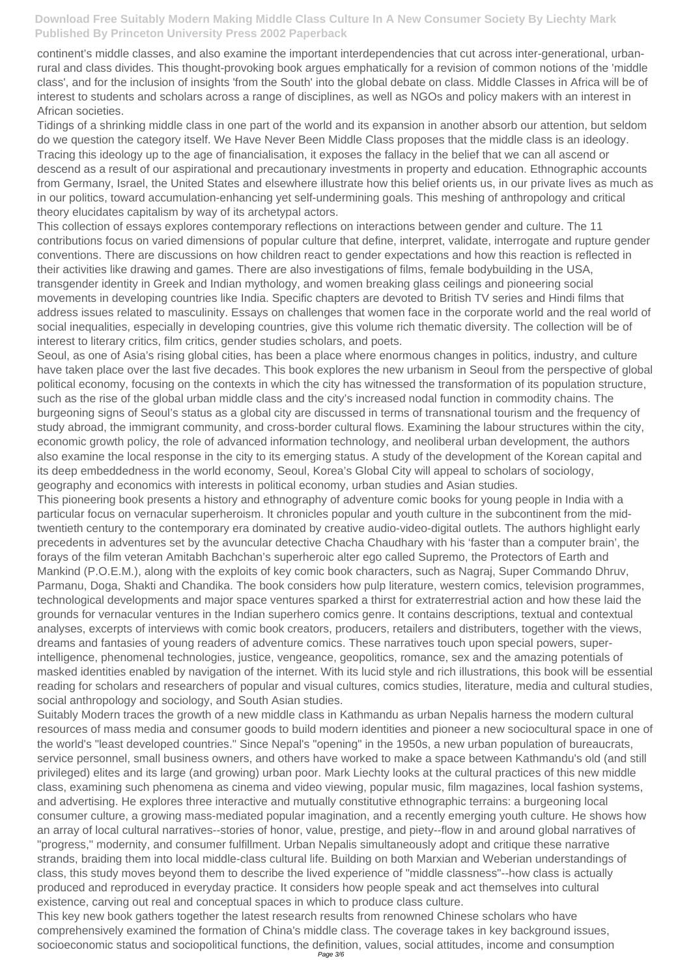continent's middle classes, and also examine the important interdependencies that cut across inter-generational, urbanrural and class divides. This thought-provoking book argues emphatically for a revision of common notions of the 'middle class', and for the inclusion of insights 'from the South' into the global debate on class. Middle Classes in Africa will be of interest to students and scholars across a range of disciplines, as well as NGOs and policy makers with an interest in African societies.

Tidings of a shrinking middle class in one part of the world and its expansion in another absorb our attention, but seldom do we question the category itself. We Have Never Been Middle Class proposes that the middle class is an ideology. Tracing this ideology up to the age of financialisation, it exposes the fallacy in the belief that we can all ascend or descend as a result of our aspirational and precautionary investments in property and education. Ethnographic accounts from Germany, Israel, the United States and elsewhere illustrate how this belief orients us, in our private lives as much as in our politics, toward accumulation-enhancing yet self-undermining goals. This meshing of anthropology and critical theory elucidates capitalism by way of its archetypal actors.

This collection of essays explores contemporary reflections on interactions between gender and culture. The 11 contributions focus on varied dimensions of popular culture that define, interpret, validate, interrogate and rupture gender conventions. There are discussions on how children react to gender expectations and how this reaction is reflected in their activities like drawing and games. There are also investigations of films, female bodybuilding in the USA, transgender identity in Greek and Indian mythology, and women breaking glass ceilings and pioneering social movements in developing countries like India. Specific chapters are devoted to British TV series and Hindi films that address issues related to masculinity. Essays on challenges that women face in the corporate world and the real world of social inequalities, especially in developing countries, give this volume rich thematic diversity. The collection will be of interest to literary critics, film critics, gender studies scholars, and poets.

Seoul, as one of Asia's rising global cities, has been a place where enormous changes in politics, industry, and culture have taken place over the last five decades. This book explores the new urbanism in Seoul from the perspective of global political economy, focusing on the contexts in which the city has witnessed the transformation of its population structure, such as the rise of the global urban middle class and the city's increased nodal function in commodity chains. The burgeoning signs of Seoul's status as a global city are discussed in terms of transnational tourism and the frequency of study abroad, the immigrant community, and cross-border cultural flows. Examining the labour structures within the city, economic growth policy, the role of advanced information technology, and neoliberal urban development, the authors also examine the local response in the city to its emerging status. A study of the development of the Korean capital and its deep embeddedness in the world economy, Seoul, Korea's Global City will appeal to scholars of sociology, geography and economics with interests in political economy, urban studies and Asian studies.

This pioneering book presents a history and ethnography of adventure comic books for young people in India with a particular focus on vernacular superheroism. It chronicles popular and youth culture in the subcontinent from the midtwentieth century to the contemporary era dominated by creative audio-video-digital outlets. The authors highlight early precedents in adventures set by the avuncular detective Chacha Chaudhary with his 'faster than a computer brain', the forays of the film veteran Amitabh Bachchan's superheroic alter ego called Supremo, the Protectors of Earth and Mankind (P.O.E.M.), along with the exploits of key comic book characters, such as Nagraj, Super Commando Dhruv, Parmanu, Doga, Shakti and Chandika. The book considers how pulp literature, western comics, television programmes, technological developments and major space ventures sparked a thirst for extraterrestrial action and how these laid the grounds for vernacular ventures in the Indian superhero comics genre. It contains descriptions, textual and contextual analyses, excerpts of interviews with comic book creators, producers, retailers and distributers, together with the views, dreams and fantasies of young readers of adventure comics. These narratives touch upon special powers, superintelligence, phenomenal technologies, justice, vengeance, geopolitics, romance, sex and the amazing potentials of masked identities enabled by navigation of the internet. With its lucid style and rich illustrations, this book will be essential reading for scholars and researchers of popular and visual cultures, comics studies, literature, media and cultural studies, social anthropology and sociology, and South Asian studies.

Suitably Modern traces the growth of a new middle class in Kathmandu as urban Nepalis harness the modern cultural resources of mass media and consumer goods to build modern identities and pioneer a new sociocultural space in one of

the world's "least developed countries." Since Nepal's "opening" in the 1950s, a new urban population of bureaucrats, service personnel, small business owners, and others have worked to make a space between Kathmandu's old (and still privileged) elites and its large (and growing) urban poor. Mark Liechty looks at the cultural practices of this new middle class, examining such phenomena as cinema and video viewing, popular music, film magazines, local fashion systems, and advertising. He explores three interactive and mutually constitutive ethnographic terrains: a burgeoning local consumer culture, a growing mass-mediated popular imagination, and a recently emerging youth culture. He shows how an array of local cultural narratives--stories of honor, value, prestige, and piety--flow in and around global narratives of "progress," modernity, and consumer fulfillment. Urban Nepalis simultaneously adopt and critique these narrative strands, braiding them into local middle-class cultural life. Building on both Marxian and Weberian understandings of class, this study moves beyond them to describe the lived experience of "middle classness"--how class is actually produced and reproduced in everyday practice. It considers how people speak and act themselves into cultural existence, carving out real and conceptual spaces in which to produce class culture. This key new book gathers together the latest research results from renowned Chinese scholars who have comprehensively examined the formation of China's middle class. The coverage takes in key background issues, socioeconomic status and sociopolitical functions, the definition, values, social attitudes, income and consumption Page 3/6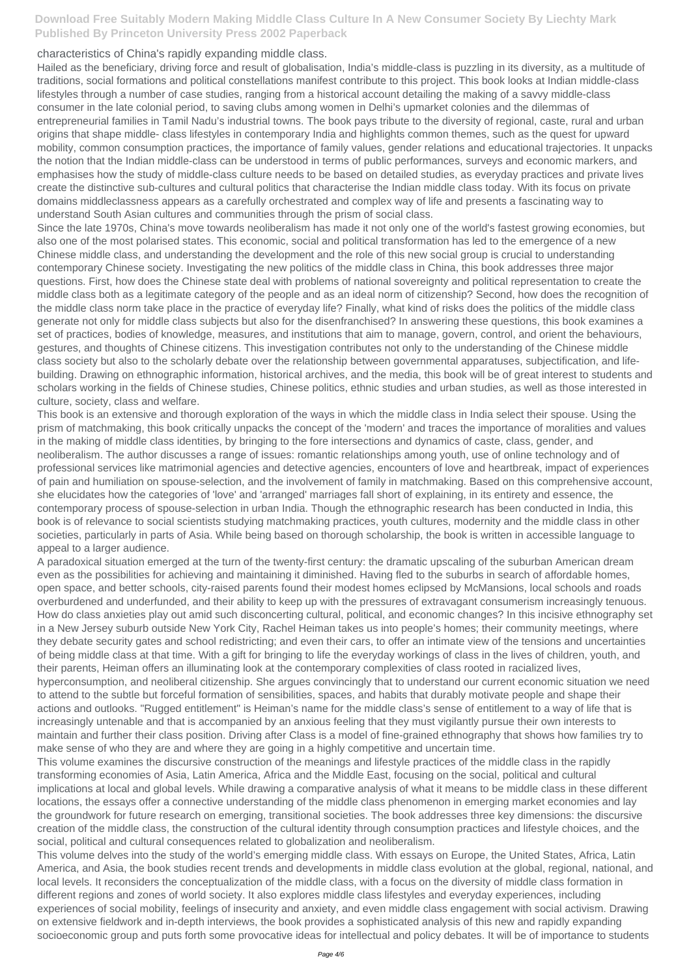#### characteristics of China's rapidly expanding middle class.

Hailed as the beneficiary, driving force and result of globalisation, India's middle-class is puzzling in its diversity, as a multitude of traditions, social formations and political constellations manifest contribute to this project. This book looks at Indian middle-class lifestyles through a number of case studies, ranging from a historical account detailing the making of a savvy middle-class consumer in the late colonial period, to saving clubs among women in Delhi's upmarket colonies and the dilemmas of entrepreneurial families in Tamil Nadu's industrial towns. The book pays tribute to the diversity of regional, caste, rural and urban origins that shape middle- class lifestyles in contemporary India and highlights common themes, such as the quest for upward mobility, common consumption practices, the importance of family values, gender relations and educational trajectories. It unpacks the notion that the Indian middle-class can be understood in terms of public performances, surveys and economic markers, and emphasises how the study of middle-class culture needs to be based on detailed studies, as everyday practices and private lives create the distinctive sub-cultures and cultural politics that characterise the Indian middle class today. With its focus on private domains middleclassness appears as a carefully orchestrated and complex way of life and presents a fascinating way to understand South Asian cultures and communities through the prism of social class.

Since the late 1970s, China's move towards neoliberalism has made it not only one of the world's fastest growing economies, but also one of the most polarised states. This economic, social and political transformation has led to the emergence of a new Chinese middle class, and understanding the development and the role of this new social group is crucial to understanding contemporary Chinese society. Investigating the new politics of the middle class in China, this book addresses three major questions. First, how does the Chinese state deal with problems of national sovereignty and political representation to create the middle class both as a legitimate category of the people and as an ideal norm of citizenship? Second, how does the recognition of the middle class norm take place in the practice of everyday life? Finally, what kind of risks does the politics of the middle class generate not only for middle class subjects but also for the disenfranchised? In answering these questions, this book examines a set of practices, bodies of knowledge, measures, and institutions that aim to manage, govern, control, and orient the behaviours, gestures, and thoughts of Chinese citizens. This investigation contributes not only to the understanding of the Chinese middle class society but also to the scholarly debate over the relationship between governmental apparatuses, subjectification, and lifebuilding. Drawing on ethnographic information, historical archives, and the media, this book will be of great interest to students and scholars working in the fields of Chinese studies, Chinese politics, ethnic studies and urban studies, as well as those interested in culture, society, class and welfare.

This book is an extensive and thorough exploration of the ways in which the middle class in India select their spouse. Using the prism of matchmaking, this book critically unpacks the concept of the 'modern' and traces the importance of moralities and values in the making of middle class identities, by bringing to the fore intersections and dynamics of caste, class, gender, and neoliberalism. The author discusses a range of issues: romantic relationships among youth, use of online technology and of professional services like matrimonial agencies and detective agencies, encounters of love and heartbreak, impact of experiences of pain and humiliation on spouse-selection, and the involvement of family in matchmaking. Based on this comprehensive account, she elucidates how the categories of 'love' and 'arranged' marriages fall short of explaining, in its entirety and essence, the contemporary process of spouse-selection in urban India. Though the ethnographic research has been conducted in India, this book is of relevance to social scientists studying matchmaking practices, youth cultures, modernity and the middle class in other societies, particularly in parts of Asia. While being based on thorough scholarship, the book is written in accessible language to appeal to a larger audience.

A paradoxical situation emerged at the turn of the twenty-first century: the dramatic upscaling of the suburban American dream even as the possibilities for achieving and maintaining it diminished. Having fled to the suburbs in search of affordable homes, open space, and better schools, city-raised parents found their modest homes eclipsed by McMansions, local schools and roads overburdened and underfunded, and their ability to keep up with the pressures of extravagant consumerism increasingly tenuous. How do class anxieties play out amid such disconcerting cultural, political, and economic changes? In this incisive ethnography set in a New Jersey suburb outside New York City, Rachel Heiman takes us into people's homes; their community meetings, where they debate security gates and school redistricting; and even their cars, to offer an intimate view of the tensions and uncertainties of being middle class at that time. With a gift for bringing to life the everyday workings of class in the lives of children, youth, and their parents, Heiman offers an illuminating look at the contemporary complexities of class rooted in racialized lives, hyperconsumption, and neoliberal citizenship. She argues convincingly that to understand our current economic situation we need to attend to the subtle but forceful formation of sensibilities, spaces, and habits that durably motivate people and shape their actions and outlooks. "Rugged entitlement" is Heiman's name for the middle class's sense of entitlement to a way of life that is increasingly untenable and that is accompanied by an anxious feeling that they must vigilantly pursue their own interests to maintain and further their class position. Driving after Class is a model of fine-grained ethnography that shows how families try to make sense of who they are and where they are going in a highly competitive and uncertain time. This volume examines the discursive construction of the meanings and lifestyle practices of the middle class in the rapidly transforming economies of Asia, Latin America, Africa and the Middle East, focusing on the social, political and cultural implications at local and global levels. While drawing a comparative analysis of what it means to be middle class in these different locations, the essays offer a connective understanding of the middle class phenomenon in emerging market economies and lay the groundwork for future research on emerging, transitional societies. The book addresses three key dimensions: the discursive creation of the middle class, the construction of the cultural identity through consumption practices and lifestyle choices, and the social, political and cultural consequences related to globalization and neoliberalism. This volume delves into the study of the world's emerging middle class. With essays on Europe, the United States, Africa, Latin America, and Asia, the book studies recent trends and developments in middle class evolution at the global, regional, national, and local levels. It reconsiders the conceptualization of the middle class, with a focus on the diversity of middle class formation in different regions and zones of world society. It also explores middle class lifestyles and everyday experiences, including experiences of social mobility, feelings of insecurity and anxiety, and even middle class engagement with social activism. Drawing on extensive fieldwork and in-depth interviews, the book provides a sophisticated analysis of this new and rapidly expanding socioeconomic group and puts forth some provocative ideas for intellectual and policy debates. It will be of importance to students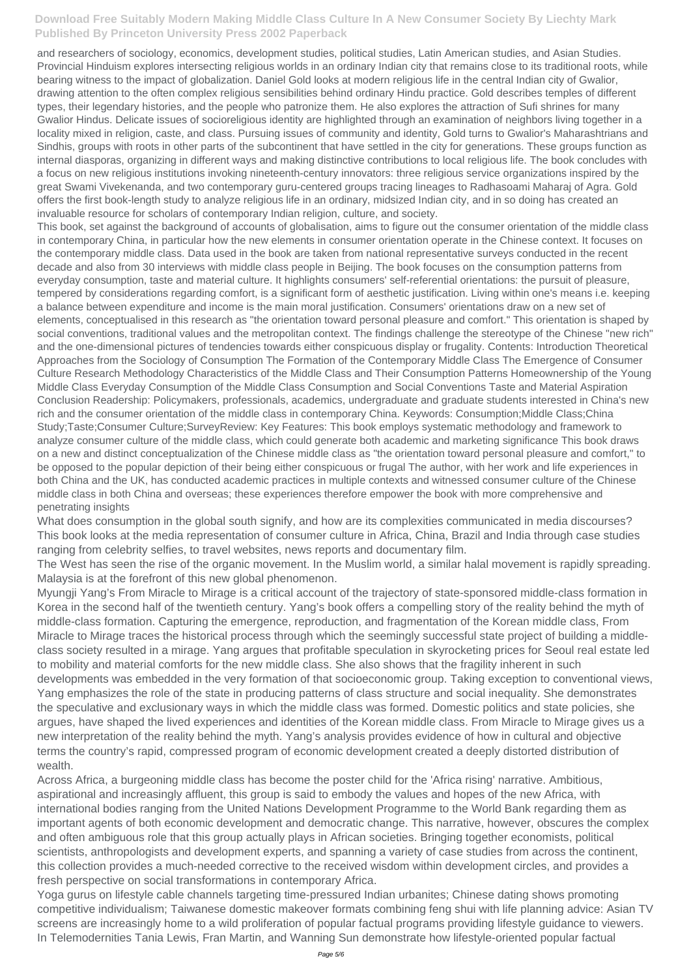and researchers of sociology, economics, development studies, political studies, Latin American studies, and Asian Studies. Provincial Hinduism explores intersecting religious worlds in an ordinary Indian city that remains close to its traditional roots, while bearing witness to the impact of globalization. Daniel Gold looks at modern religious life in the central Indian city of Gwalior, drawing attention to the often complex religious sensibilities behind ordinary Hindu practice. Gold describes temples of different types, their legendary histories, and the people who patronize them. He also explores the attraction of Sufi shrines for many Gwalior Hindus. Delicate issues of socioreligious identity are highlighted through an examination of neighbors living together in a locality mixed in religion, caste, and class. Pursuing issues of community and identity, Gold turns to Gwalior's Maharashtrians and Sindhis, groups with roots in other parts of the subcontinent that have settled in the city for generations. These groups function as internal diasporas, organizing in different ways and making distinctive contributions to local religious life. The book concludes with a focus on new religious institutions invoking nineteenth-century innovators: three religious service organizations inspired by the great Swami Vivekenanda, and two contemporary guru-centered groups tracing lineages to Radhasoami Maharaj of Agra. Gold offers the first book-length study to analyze religious life in an ordinary, midsized Indian city, and in so doing has created an invaluable resource for scholars of contemporary Indian religion, culture, and society.

This book, set against the background of accounts of globalisation, aims to figure out the consumer orientation of the middle class in contemporary China, in particular how the new elements in consumer orientation operate in the Chinese context. It focuses on the contemporary middle class. Data used in the book are taken from national representative surveys conducted in the recent decade and also from 30 interviews with middle class people in Beijing. The book focuses on the consumption patterns from everyday consumption, taste and material culture. It highlights consumers' self-referential orientations: the pursuit of pleasure, tempered by considerations regarding comfort, is a significant form of aesthetic justification. Living within one's means i.e. keeping a balance between expenditure and income is the main moral justification. Consumers' orientations draw on a new set of elements, conceptualised in this research as "the orientation toward personal pleasure and comfort." This orientation is shaped by social conventions, traditional values and the metropolitan context. The findings challenge the stereotype of the Chinese "new rich" and the one-dimensional pictures of tendencies towards either conspicuous display or frugality. Contents: Introduction Theoretical Approaches from the Sociology of Consumption The Formation of the Contemporary Middle Class The Emergence of Consumer Culture Research Methodology Characteristics of the Middle Class and Their Consumption Patterns Homeownership of the Young Middle Class Everyday Consumption of the Middle Class Consumption and Social Conventions Taste and Material Aspiration Conclusion Readership: Policymakers, professionals, academics, undergraduate and graduate students interested in China's new rich and the consumer orientation of the middle class in contemporary China. Keywords: Consumption;Middle Class;China Study;Taste;Consumer Culture;SurveyReview: Key Features: This book employs systematic methodology and framework to analyze consumer culture of the middle class, which could generate both academic and marketing significance This book draws on a new and distinct conceptualization of the Chinese middle class as "the orientation toward personal pleasure and comfort," to be opposed to the popular depiction of their being either conspicuous or frugal The author, with her work and life experiences in both China and the UK, has conducted academic practices in multiple contexts and witnessed consumer culture of the Chinese middle class in both China and overseas; these experiences therefore empower the book with more comprehensive and penetrating insights

What does consumption in the global south signify, and how are its complexities communicated in media discourses? This book looks at the media representation of consumer culture in Africa, China, Brazil and India through case studies ranging from celebrity selfies, to travel websites, news reports and documentary film.

The West has seen the rise of the organic movement. In the Muslim world, a similar halal movement is rapidly spreading. Malaysia is at the forefront of this new global phenomenon.

Myungji Yang's From Miracle to Mirage is a critical account of the trajectory of state-sponsored middle-class formation in Korea in the second half of the twentieth century. Yang's book offers a compelling story of the reality behind the myth of middle-class formation. Capturing the emergence, reproduction, and fragmentation of the Korean middle class, From Miracle to Mirage traces the historical process through which the seemingly successful state project of building a middleclass society resulted in a mirage. Yang argues that profitable speculation in skyrocketing prices for Seoul real estate led to mobility and material comforts for the new middle class. She also shows that the fragility inherent in such developments was embedded in the very formation of that socioeconomic group. Taking exception to conventional views, Yang emphasizes the role of the state in producing patterns of class structure and social inequality. She demonstrates the speculative and exclusionary ways in which the middle class was formed. Domestic politics and state policies, she argues, have shaped the lived experiences and identities of the Korean middle class. From Miracle to Mirage gives us a new interpretation of the reality behind the myth. Yang's analysis provides evidence of how in cultural and objective terms the country's rapid, compressed program of economic development created a deeply distorted distribution of wealth. Across Africa, a burgeoning middle class has become the poster child for the 'Africa rising' narrative. Ambitious, aspirational and increasingly affluent, this group is said to embody the values and hopes of the new Africa, with international bodies ranging from the United Nations Development Programme to the World Bank regarding them as important agents of both economic development and democratic change. This narrative, however, obscures the complex and often ambiguous role that this group actually plays in African societies. Bringing together economists, political scientists, anthropologists and development experts, and spanning a variety of case studies from across the continent, this collection provides a much-needed corrective to the received wisdom within development circles, and provides a fresh perspective on social transformations in contemporary Africa. Yoga gurus on lifestyle cable channels targeting time-pressured Indian urbanites; Chinese dating shows promoting competitive individualism; Taiwanese domestic makeover formats combining feng shui with life planning advice: Asian TV screens are increasingly home to a wild proliferation of popular factual programs providing lifestyle guidance to viewers. In Telemodernities Tania Lewis, Fran Martin, and Wanning Sun demonstrate how lifestyle-oriented popular factual